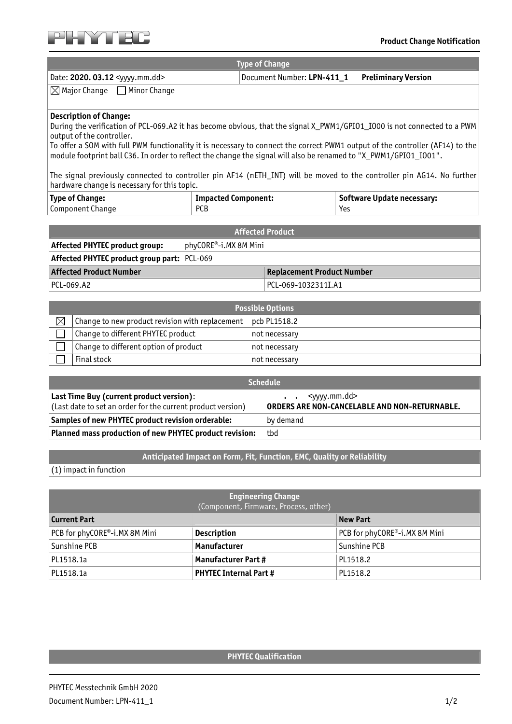

|                                             | <b>Type of Change</b>                          |  |
|---------------------------------------------|------------------------------------------------|--|
| Date: 2020. 03.12 <yyyy.mm.dd></yyyy.mm.dd> | Document Number: LPN-411_1 Preliminary Version |  |
|                                             |                                                |  |

 $\boxtimes$  Major Change  $\Box$  Minor Change

## **Description of Change:**

During the verification of PCL-069.A2 it has become obvious, that the signal X\_PWM1/GPIO1\_IO00 is not connected to a PWM output of the controller.

To offer a SOM with full PWM functionality it is necessary to connect the correct PWM1 output of the controller (AF14) to the module footprint ball C36. In order to reflect the change the signal will also be renamed to "X\_PWM1/GPIO1\_IO01".

The signal previously connected to controller pin AF14 (nETH\_INT) will be moved to the controller pin AG14. No further hardware change is necessary for this topic.

| <b>Type of Change:</b> | Impacted Component: | <b>Software Update necessary:</b> |
|------------------------|---------------------|-----------------------------------|
| Component Change       | <b>DCD</b>          | Yes                               |

| <b>Affected Product</b>                                      |                       |                     |
|--------------------------------------------------------------|-----------------------|---------------------|
| <b>Affected PHYTEC product group:</b>                        | phyCORE®-i.MX 8M Mini |                     |
| <b>Affected PHYTEC product group part: PCL-069</b>           |                       |                     |
| <b>Affected Product Number</b><br>Replacement Product Number |                       |                     |
| PCL-069.A2                                                   |                       | PCL-069-1032311I.A1 |

| <b>Possible Options</b> |                                                 |               |
|-------------------------|-------------------------------------------------|---------------|
| $\times$                | Change to new product revision with replacement | pcb PL1518.2  |
|                         | Change to different PHYTEC product              | not necessary |
|                         | Change to different option of product           | not necessary |
|                         | Final stock                                     | not necessary |

| <b>Schedule</b>                                                                                         |                                                                                                                           |  |
|---------------------------------------------------------------------------------------------------------|---------------------------------------------------------------------------------------------------------------------------|--|
| Last Time Buy (current product version):<br>(Last date to set an order for the current product version) | <vyyy.mm.dd><br/><math>\bullet</math> <math>\bullet</math><br/>ORDERS ARE NON-CANCELABLE AND NON-RETURNABLE.</vyyy.mm.dd> |  |
| Samples of new PHYTEC product revision orderable:                                                       | by demand                                                                                                                 |  |
| Planned mass production of new PHYTEC product revision:                                                 | tbd                                                                                                                       |  |

**Anticipated Impact on Form, Fit, Function, EMC, Quality or Reliability** 

(1) impact in function

| <b>Engineering Change</b><br>(Component, Firmware, Process, other) |                               |                               |
|--------------------------------------------------------------------|-------------------------------|-------------------------------|
| <b>Current Part</b>                                                |                               | <b>New Part</b>               |
| PCB for phyCORE®-i.MX 8M Mini                                      | <b>Description</b>            | PCB for phyCORE®-i.MX 8M Mini |
| Sunshine PCB                                                       | Manufacturer                  | Sunshine PCB                  |
| PL1518.1a                                                          | <b>Manufacturer Part #</b>    | PL1518.2                      |
| PL1518.1a                                                          | <b>PHYTEC Internal Part #</b> | PL1518.2                      |

## **PHYTEC Qualification**